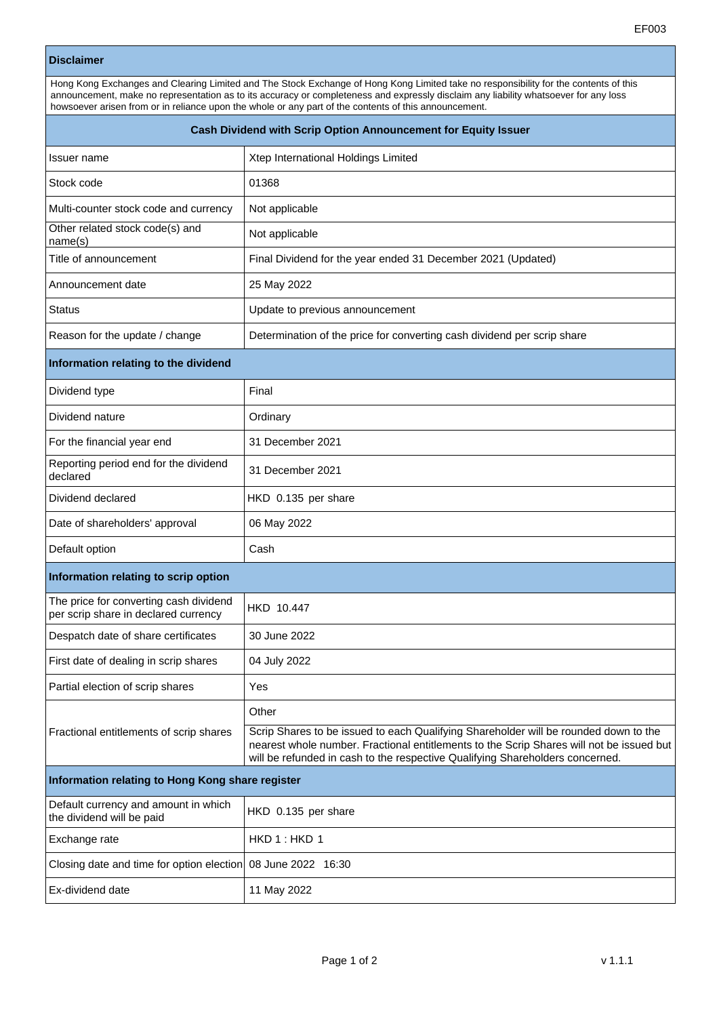## **Disclaimer**

| Hong Kong Exchanges and Clearing Limited and The Stock Exchange of Hong Kong Limited take no responsibility for the contents of this |
|--------------------------------------------------------------------------------------------------------------------------------------|
| announcement, make no representation as to its accuracy or completeness and expressly disclaim any liability whatsoever for any loss |
| howsoever arisen from or in reliance upon the whole or any part of the contents of this announcement.                                |

| Cash Dividend with Scrip Option Announcement for Equity Issuer                 |                                                                                                                                                                                                                                                                   |  |
|--------------------------------------------------------------------------------|-------------------------------------------------------------------------------------------------------------------------------------------------------------------------------------------------------------------------------------------------------------------|--|
| Issuer name                                                                    | Xtep International Holdings Limited                                                                                                                                                                                                                               |  |
| Stock code                                                                     | 01368                                                                                                                                                                                                                                                             |  |
| Multi-counter stock code and currency                                          | Not applicable                                                                                                                                                                                                                                                    |  |
| Other related stock code(s) and<br>name(s)                                     | Not applicable                                                                                                                                                                                                                                                    |  |
| Title of announcement                                                          | Final Dividend for the year ended 31 December 2021 (Updated)                                                                                                                                                                                                      |  |
| Announcement date                                                              | 25 May 2022                                                                                                                                                                                                                                                       |  |
| <b>Status</b>                                                                  | Update to previous announcement                                                                                                                                                                                                                                   |  |
| Reason for the update / change                                                 | Determination of the price for converting cash dividend per scrip share                                                                                                                                                                                           |  |
| Information relating to the dividend                                           |                                                                                                                                                                                                                                                                   |  |
| Dividend type                                                                  | Final                                                                                                                                                                                                                                                             |  |
| Dividend nature                                                                | Ordinary                                                                                                                                                                                                                                                          |  |
| For the financial year end                                                     | 31 December 2021                                                                                                                                                                                                                                                  |  |
| Reporting period end for the dividend<br>declared                              | 31 December 2021                                                                                                                                                                                                                                                  |  |
| Dividend declared                                                              | HKD 0.135 per share                                                                                                                                                                                                                                               |  |
| Date of shareholders' approval                                                 | 06 May 2022                                                                                                                                                                                                                                                       |  |
| Default option                                                                 | Cash                                                                                                                                                                                                                                                              |  |
| Information relating to scrip option                                           |                                                                                                                                                                                                                                                                   |  |
| The price for converting cash dividend<br>per scrip share in declared currency | HKD 10.447                                                                                                                                                                                                                                                        |  |
| Despatch date of share certificates                                            | 30 June 2022                                                                                                                                                                                                                                                      |  |
| First date of dealing in scrip shares                                          | 04 July 2022                                                                                                                                                                                                                                                      |  |
| Partial election of scrip shares                                               | Yes                                                                                                                                                                                                                                                               |  |
| Fractional entitlements of scrip shares                                        | Other                                                                                                                                                                                                                                                             |  |
|                                                                                | Scrip Shares to be issued to each Qualifying Shareholder will be rounded down to the<br>nearest whole number. Fractional entitlements to the Scrip Shares will not be issued but<br>will be refunded in cash to the respective Qualifying Shareholders concerned. |  |
| Information relating to Hong Kong share register                               |                                                                                                                                                                                                                                                                   |  |
| Default currency and amount in which<br>the dividend will be paid              | HKD 0.135 per share                                                                                                                                                                                                                                               |  |
| Exchange rate                                                                  | HKD 1: HKD 1                                                                                                                                                                                                                                                      |  |
| Closing date and time for option election                                      | 08 June 2022 16:30                                                                                                                                                                                                                                                |  |
| Ex-dividend date                                                               | 11 May 2022                                                                                                                                                                                                                                                       |  |